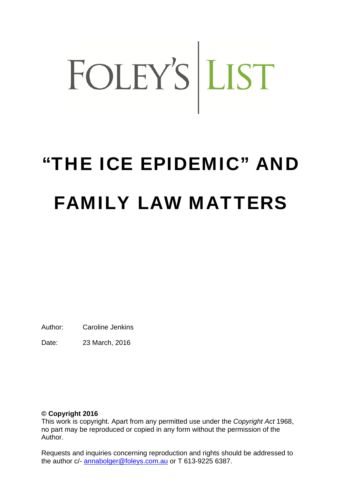# FOLEY'S LIST

# "THE ICE EPIDEMIC" AND FAMILY LAW MATTERS

Author: Caroline Jenkins

Date: 23 March, 2016

## **© Copyright 2016**

This work is copyright. Apart from any permitted use under the *Copyright Act* 1968, no part may be reproduced or copied in any form without the permission of the Author.

Requests and inquiries concerning reproduction and rights should be addressed to the author c/- annabolger@foleys.com.au or T 613-9225 6387.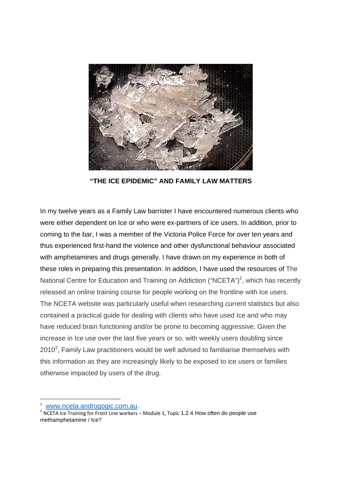

**"THE ICE EPIDEMIC" AND FAMILY LAW MATTERS** 

In my twelve years as a Family Law barrister I have encountered numerous clients who were either dependent on Ice or who were ex-partners of ice users. In addition, prior to coming to the bar, I was a member of the Victoria Police Force for over ten years and thus experienced first-hand the violence and other dysfunctional behaviour associated with amphetamines and drugs generally. I have drawn on my experience in both of these roles in preparing this presentation. In addition, I have used the resources of The National Centre for Education and Training on Addiction ("NCETA")<sup>1</sup>, which has recently released an online training course for people working on the frontline with Ice users. The NCETA website was particularly useful when researching current statistics but also contained a practical guide for dealing with clients who have used Ice and who may have reduced brain functioning and/or be prone to becoming aggressive. Given the increase in Ice use over the last five years or so, with weekly users doubling since 2010<sup>2</sup>, Family Law practitioners would be well advised to familiarise themselves with this information as they are increasingly likely to be exposed to ice users or families otherwise impacted by users of the drug.

<sup>1</sup> www.nceta.androgogic.com.au.

 $<sup>2</sup>$  NCETA Ice Training for Front Line workers – Module 1, Topic 1.2.4 How often do people use</sup> methamphetamine / Ice?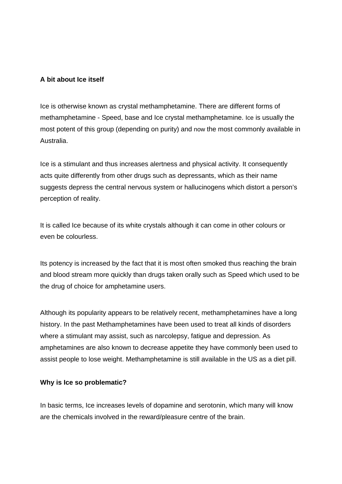#### **A bit about Ice itself**

Ice is otherwise known as crystal methamphetamine. There are different forms of methamphetamine - Speed, base and Ice crystal methamphetamine. Ice is usually the most potent of this group (depending on purity) and now the most commonly available in Australia.

Ice is a stimulant and thus increases alertness and physical activity. It consequently acts quite differently from other drugs such as depressants, which as their name suggests depress the central nervous system or hallucinogens which distort a person's perception of reality.

It is called Ice because of its white crystals although it can come in other colours or even be colourless.

Its potency is increased by the fact that it is most often smoked thus reaching the brain and blood stream more quickly than drugs taken orally such as Speed which used to be the drug of choice for amphetamine users.

Although its popularity appears to be relatively recent, methamphetamines have a long history. In the past Methamphetamines have been used to treat all kinds of disorders where a stimulant may assist, such as narcolepsy, fatigue and depression. As amphetamines are also known to decrease appetite they have commonly been used to assist people to lose weight. Methamphetamine is still available in the US as a diet pill.

#### **Why is Ice so problematic?**

In basic terms, Ice increases levels of dopamine and serotonin, which many will know are the chemicals involved in the reward/pleasure centre of the brain.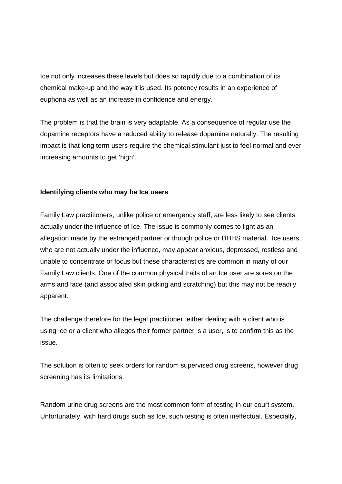Ice not only increases these levels but does so rapidly due to a combination of its chemical make-up and the way it is used. Its potency results in an experience of euphoria as well as an increase in confidence and energy.

The problem is that the brain is very adaptable. As a consequence of regular use the dopamine receptors have a reduced ability to release dopamine naturally. The resulting impact is that long term users require the chemical stimulant just to feel normal and ever increasing amounts to get 'high'.

#### **Identifying clients who may be Ice users**

Family Law practitioners, unlike police or emergency staff, are less likely to see clients actually under the influence of Ice. The issue is commonly comes to light as an allegation made by the estranged partner or though police or DHHS material.Ice users, who are not actually under the influence, may appear anxious, depressed, restless and unable to concentrate or focus but these characteristics are common in many of our Family Law clients. One of the common physical traits of an Ice user are sores on the arms and face (and associated skin picking and scratching) but this may not be readily apparent.

The challenge therefore for the legal practitioner, either dealing with a client who is using Ice or a client who alleges their former partner is a user, is to confirm this as the issue.

The solution is often to seek orders for random supervised drug screens, however drug screening has its limitations.

Random urine drug screens are the most common form of testing in our court system. Unfortunately, with hard drugs such as Ice, such testing is often ineffectual. Especially,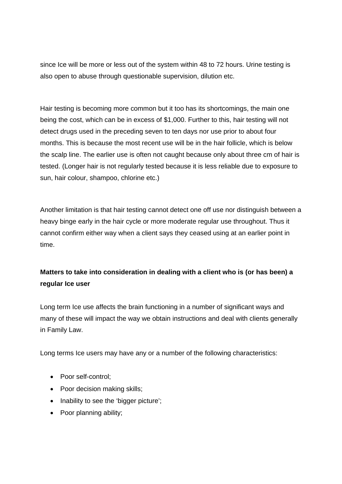since Ice will be more or less out of the system within 48 to 72 hours. Urine testing is also open to abuse through questionable supervision, dilution etc.

Hair testing is becoming more common but it too has its shortcomings, the main one being the cost, which can be in excess of \$1,000. Further to this, hair testing will not detect drugs used in the preceding seven to ten days nor use prior to about four months. This is because the most recent use will be in the hair follicle, which is below the scalp line. The earlier use is often not caught because only about three cm of hair is tested. (Longer hair is not regularly tested because it is less reliable due to exposure to sun, hair colour, shampoo, chlorine etc.)

Another limitation is that hair testing cannot detect one off use nor distinguish between a heavy binge early in the hair cycle or more moderate regular use throughout. Thus it cannot confirm either way when a client says they ceased using at an earlier point in time.

# **Matters to take into consideration in dealing with a client who is (or has been) a regular Ice user**

Long term Ice use affects the brain functioning in a number of significant ways and many of these will impact the way we obtain instructions and deal with clients generally in Family Law.

Long terms Ice users may have any or a number of the following characteristics:

- Poor self-control;
- Poor decision making skills;
- Inability to see the 'bigger picture';
- Poor planning ability;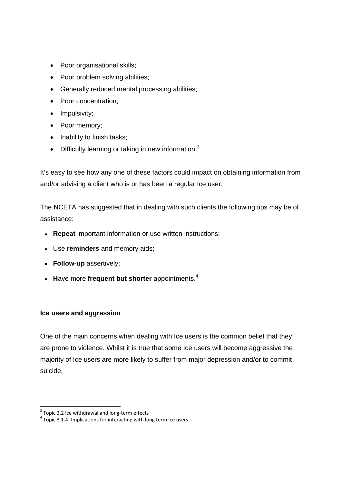- Poor organisational skills;
- Poor problem solving abilities;
- Generally reduced mental processing abilities;
- Poor concentration;
- Impulsivity;
- Poor memory;
- Inability to finish tasks;
- $\bullet$  Difficulty learning or taking in new information.<sup>3</sup>

It's easy to see how any one of these factors could impact on obtaining information from and/or advising a client who is or has been a regular Ice user.

The NCETA has suggested that in dealing with such clients the following tips may be of assistance:

- **Repeat** important information or use written instructions;
- Use **reminders** and memory aids;
- **Follow-up** assertively;
- Have more frequent but shorter appointments.<sup>4</sup>

#### **Ice users and aggression**

One of the main concerns when dealing with Ice users is the common belief that they are prone to violence. Whilst it is true that some Ice users will become aggressive the majority of Ice users are more likely to suffer from major depression and/or to commit suicide.

<sup>&</sup>lt;sup>3</sup> Topic 2.2 Ice withdrawal and long-term effects

 $4$  Topic 3.1.4 -Implications for interacting with long term Ice users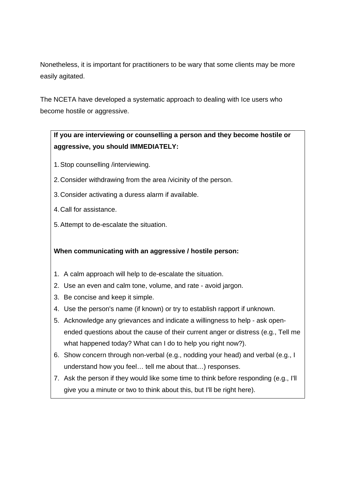Nonetheless, it is important for practitioners to be wary that some clients may be more easily agitated.

The NCETA have developed a systematic approach to dealing with Ice users who become hostile or aggressive.

# **If you are interviewing or counselling a person and they become hostile or aggressive, you should IMMEDIATELY:**

- 1. Stop counselling /interviewing.
- 2. Consider withdrawing from the area /vicinity of the person.
- 3. Consider activating a duress alarm if available.
- 4. Call for assistance.
- 5. Attempt to de-escalate the situation.

**When communicating with an aggressive / hostile person:**

- 1. A calm approach will help to de-escalate the situation.
- 2. Use an even and calm tone, volume, and rate avoid jargon.
- 3. Be concise and keep it simple.
- 4. Use the person's name (if known) or try to establish rapport if unknown.
- 5. Acknowledge any grievances and indicate a willingness to help ask openended questions about the cause of their current anger or distress (e.g., Tell me what happened today? What can I do to help you right now?).
- 6. Show concern through non-verbal (e.g., nodding your head) and verbal (e.g., I understand how you feel… tell me about that…) responses.
- 7. Ask the person if they would like some time to think before responding (e.g., I'll give you a minute or two to think about this, but I'll be right here).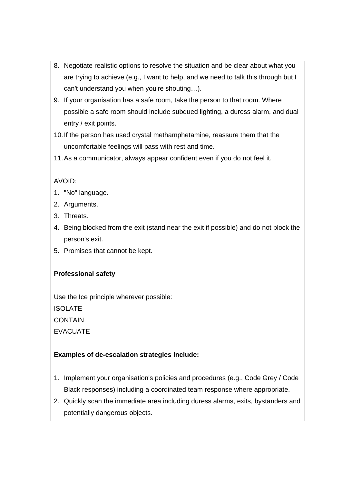- 8. Negotiate realistic options to resolve the situation and be clear about what you are trying to achieve (e.g., I want to help, and we need to talk this through but I can't understand you when you're shouting…).
- 9. If your organisation has a safe room, take the person to that room. Where possible a safe room should include subdued lighting, a duress alarm, and dual entry / exit points.
- 10. If the person has used crystal methamphetamine, reassure them that the uncomfortable feelings will pass with rest and time.
- 11. As a communicator, always appear confident even if you do not feel it.

# AVOID:

- 1. "No" language.
- 2. Arguments.
- 3. Threats.
- 4. Being blocked from the exit (stand near the exit if possible) and do not block the person's exit.
- 5. Promises that cannot be kept.

# **Professional safety**

Use the Ice principle wherever possible: **ISOLATE CONTAIN** EVACUATE

# **Examples of de-escalation strategies include:**

- 1. Implement your organisation's policies and procedures (e.g., Code Grey / Code Black responses) including a coordinated team response where appropriate.
- 2. Quickly scan the immediate area including duress alarms, exits, bystanders and potentially dangerous objects.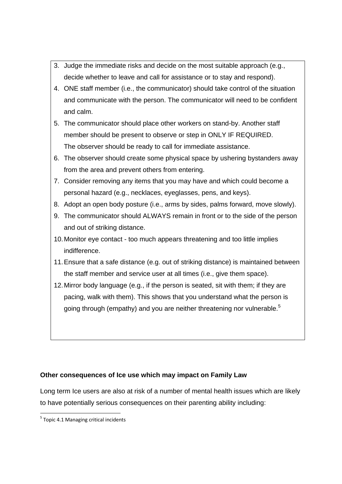- 3. Judge the immediate risks and decide on the most suitable approach (e.g., decide whether to leave and call for assistance or to stay and respond).
- 4. ONE staff member (i.e., the communicator) should take control of the situation and communicate with the person. The communicator will need to be confident and calm.
- 5. The communicator should place other workers on stand-by. Another staff member should be present to observe or step in ONLY IF REQUIRED. The observer should be ready to call for immediate assistance.
- 6. The observer should create some physical space by ushering bystanders away from the area and prevent others from entering.
- 7. Consider removing any items that you may have and which could become a personal hazard (e.g., necklaces, eyeglasses, pens, and keys).
- 8. Adopt an open body posture (i.e., arms by sides, palms forward, move slowly).
- 9. The communicator should ALWAYS remain in front or to the side of the person and out of striking distance.
- 10. Monitor eye contact too much appears threatening and too little implies indifference.
- 11. Ensure that a safe distance (e.g. out of striking distance) is maintained between the staff member and service user at all times (i.e., give them space).
- 12. Mirror body language (e.g., if the person is seated, sit with them; if they are pacing, walk with them). This shows that you understand what the person is going through (empathy) and you are neither threatening nor vulnerable.<sup>5</sup>

## **Other consequences of Ice use which may impact on Family Law**

Long term Ice users are also at risk of a number of mental health issues which are likely to have potentially serious consequences on their parenting ability including:

  $<sup>5</sup>$  Topic 4.1 Managing critical incidents</sup>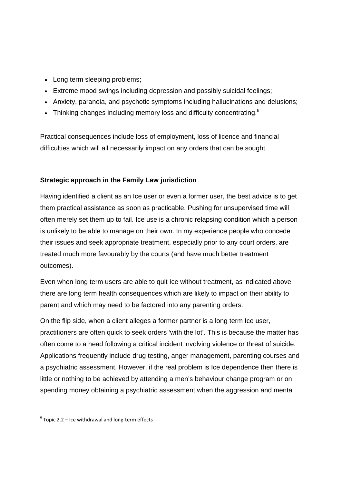- Long term sleeping problems;
- Extreme mood swings including depression and possibly suicidal feelings;
- Anxiety, paranoia, and psychotic symptoms including hallucinations and delusions;
- Finnking changes including memory loss and difficulty concentrating.<sup>6</sup>

Practical consequences include loss of employment, loss of licence and financial difficulties which will all necessarily impact on any orders that can be sought.

#### **Strategic approach in the Family Law jurisdiction**

Having identified a client as an Ice user or even a former user, the best advice is to get them practical assistance as soon as practicable. Pushing for unsupervised time will often merely set them up to fail. Ice use is a chronic relapsing condition which a person is unlikely to be able to manage on their own. In my experience people who concede their issues and seek appropriate treatment, especially prior to any court orders, are treated much more favourably by the courts (and have much better treatment outcomes).

Even when long term users are able to quit Ice without treatment, as indicated above there are long term health consequences which are likely to impact on their ability to parent and which may need to be factored into any parenting orders.

On the flip side, when a client alleges a former partner is a long term Ice user, practitioners are often quick to seek orders 'with the lot'. This is because the matter has often come to a head following a critical incident involving violence or threat of suicide. Applications frequently include drug testing, anger management, parenting courses and a psychiatric assessment. However, if the real problem is Ice dependence then there is little or nothing to be achieved by attending a men's behaviour change program or on spending money obtaining a psychiatric assessment when the aggression and mental

 $6$  Topic 2.2 – Ice withdrawal and long-term effects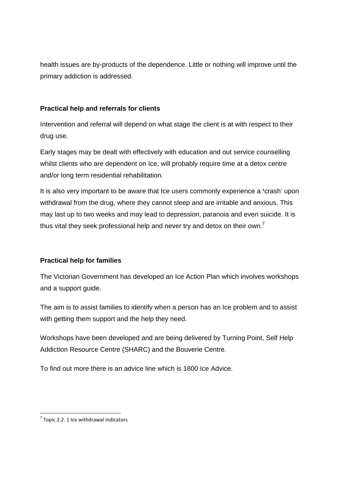health issues are by-products of the dependence. Little or nothing will improve until the primary addiction is addressed.

#### **Practical help and referrals for clients**

Intervention and referral will depend on what stage the client is at with respect to their drug use.

Early stages may be dealt with effectively with education and out service counselling whilst clients who are dependent on Ice, will probably require time at a detox centre and/or long term residential rehabilitation.

It is also very important to be aware that Ice users commonly experience a **'**crash' upon withdrawal from the drug, where they cannot sleep and are irritable and anxious. This may last up to two weeks and may lead to depression, paranoia and even suicide. It is thus vital they seek professional help and never try and detox on their own.<sup>7</sup>

## **Practical help for families**

The Victorian Government has developed an Ice Action Plan which involves workshops and a support guide.

The aim is to assist families to identify when a person has an Ice problem and to assist with getting them support and the help they need.

Workshops have been developed and are being delivered by Turning Point, Self Help Addiction Resource Centre (SHARC) and the Bouverie Centre.

To find out more there is an advice line which is 1800 Ice Advice.

  $7$  Topic 2.2. 1 Ice withdrawal indicators